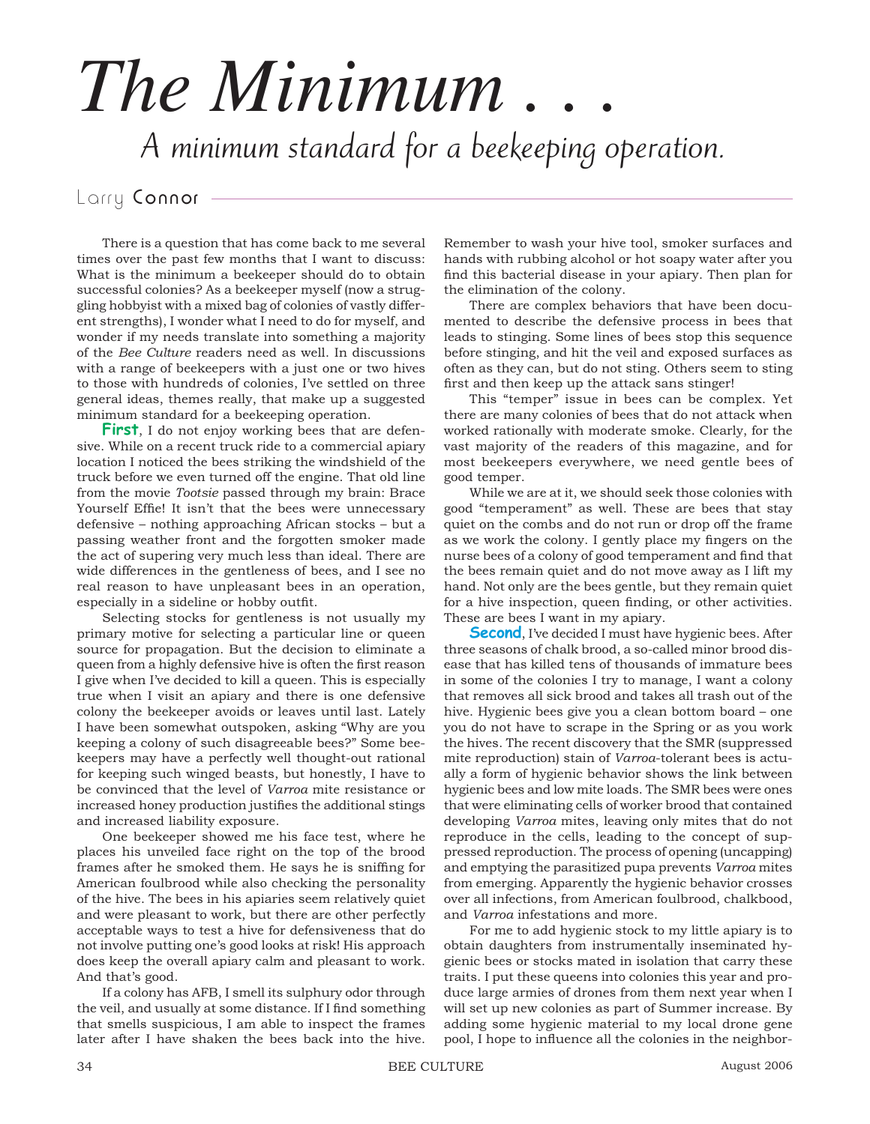## *The Minimum . . .* A minimum standard for a beekeeping operation.

## Larry Connor -

There is a question that has come back to me several times over the past few months that I want to discuss: What is the minimum a beekeeper should do to obtain successful colonies? As a beekeeper myself (now a struggling hobbyist with a mixed bag of colonies of vastly different strengths), I wonder what I need to do for myself, and wonder if my needs translate into something a majority of the *Bee Culture* readers need as well. In discussions with a range of beekeepers with a just one or two hives to those with hundreds of colonies, I've settled on three general ideas, themes really, that make up a suggested minimum standard for a beekeeping operation.

**First**, I do not enjoy working bees that are defensive. While on a recent truck ride to a commercial apiary location I noticed the bees striking the windshield of the truck before we even turned off the engine. That old line from the movie *Tootsie* passed through my brain: Brace Yourself Effie! It isn't that the bees were unnecessary defensive – nothing approaching African stocks – but a passing weather front and the forgotten smoker made the act of supering very much less than ideal. There are wide differences in the gentleness of bees, and I see no real reason to have unpleasant bees in an operation, especially in a sideline or hobby outfit.

Selecting stocks for gentleness is not usually my primary motive for selecting a particular line or queen source for propagation. But the decision to eliminate a queen from a highly defensive hive is often the first reason I give when I've decided to kill a queen. This is especially true when I visit an apiary and there is one defensive colony the beekeeper avoids or leaves until last. Lately I have been somewhat outspoken, asking "Why are you keeping a colony of such disagreeable bees?" Some beekeepers may have a perfectly well thought-out rational for keeping such winged beasts, but honestly, I have to be convinced that the level of *Varroa* mite resistance or increased honey production justifies the additional stings and increased liability exposure.

One beekeeper showed me his face test, where he places his unveiled face right on the top of the brood frames after he smoked them. He says he is sniffing for American foulbrood while also checking the personality of the hive. The bees in his apiaries seem relatively quiet and were pleasant to work, but there are other perfectly acceptable ways to test a hive for defensiveness that do not involve putting one's good looks at risk! His approach does keep the overall apiary calm and pleasant to work. And that's good.

If a colony has AFB, I smell its sulphury odor through the veil, and usually at some distance. If I find something that smells suspicious, I am able to inspect the frames later after I have shaken the bees back into the hive.

Remember to wash your hive tool, smoker surfaces and hands with rubbing alcohol or hot soapy water after you find this bacterial disease in your apiary. Then plan for the elimination of the colony.

There are complex behaviors that have been documented to describe the defensive process in bees that leads to stinging. Some lines of bees stop this sequence before stinging, and hit the veil and exposed surfaces as often as they can, but do not sting. Others seem to sting first and then keep up the attack sans stinger!

This "temper" issue in bees can be complex. Yet there are many colonies of bees that do not attack when worked rationally with moderate smoke. Clearly, for the vast majority of the readers of this magazine, and for most beekeepers everywhere, we need gentle bees of good temper.

While we are at it, we should seek those colonies with good "temperament" as well. These are bees that stay quiet on the combs and do not run or drop off the frame as we work the colony. I gently place my fingers on the nurse bees of a colony of good temperament and find that the bees remain quiet and do not move away as I lift my hand. Not only are the bees gentle, but they remain quiet for a hive inspection, queen finding, or other activities. These are bees I want in my apiary.

**Second**, I've decided I must have hygienic bees. After three seasons of chalk brood, a so-called minor brood disease that has killed tens of thousands of immature bees in some of the colonies I try to manage, I want a colony that removes all sick brood and takes all trash out of the hive. Hygienic bees give you a clean bottom board – one you do not have to scrape in the Spring or as you work the hives. The recent discovery that the SMR (suppressed mite reproduction) stain of *Varroa*-tolerant bees is actually a form of hygienic behavior shows the link between hygienic bees and low mite loads. The SMR bees were ones that were eliminating cells of worker brood that contained developing *Varroa* mites, leaving only mites that do not reproduce in the cells, leading to the concept of suppressed reproduction. The process of opening (uncapping) and emptying the parasitized pupa prevents *Varroa* mites from emerging. Apparently the hygienic behavior crosses over all infections, from American foulbrood, chalkbood, and *Varroa* infestations and more.

For me to add hygienic stock to my little apiary is to obtain daughters from instrumentally inseminated hygienic bees or stocks mated in isolation that carry these traits. I put these queens into colonies this year and produce large armies of drones from them next year when I will set up new colonies as part of Summer increase. By adding some hygienic material to my local drone gene pool, I hope to influence all the colonies in the neighbor-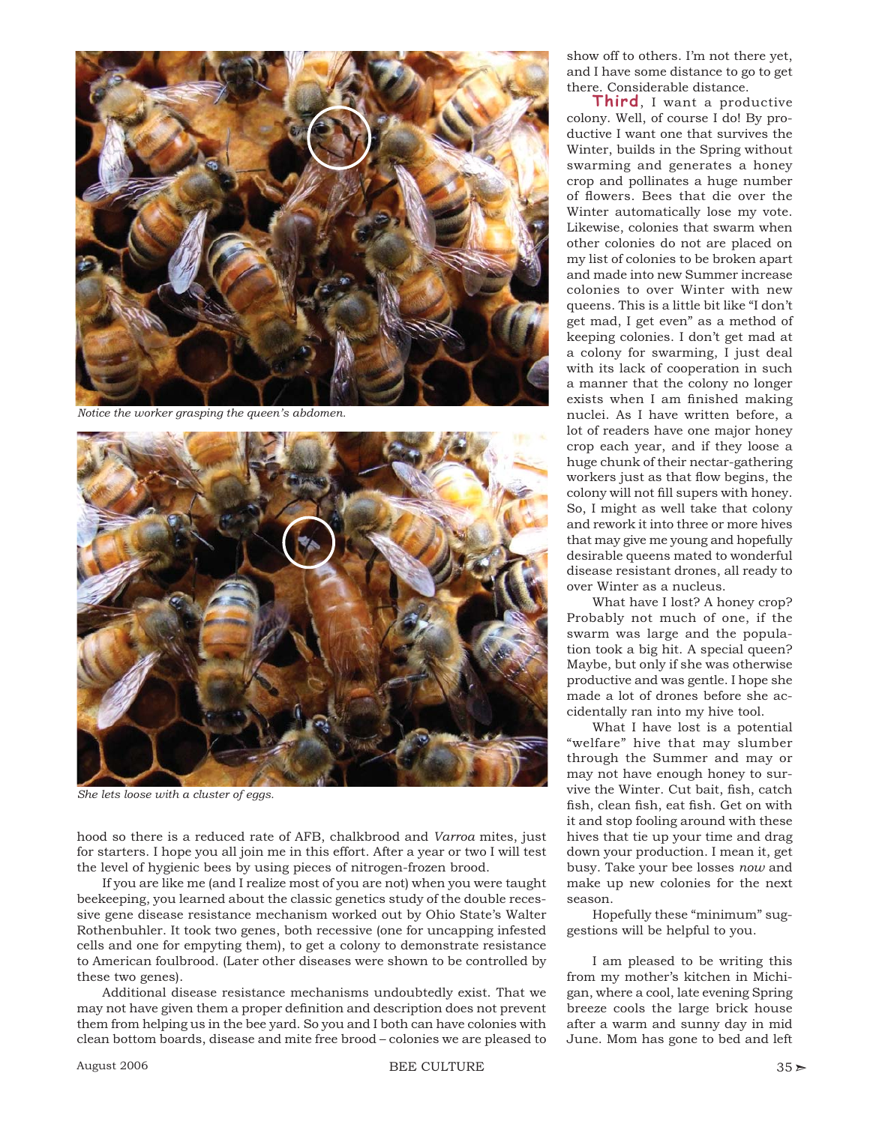

*Notice the worker grasping the queen's abdomen.*



*She lets loose with a cluster of eggs.*

hood so there is a reduced rate of AFB, chalkbrood and *Varroa* mites, just for starters. I hope you all join me in this effort. After a year or two I will test the level of hygienic bees by using pieces of nitrogen-frozen brood.

If you are like me (and I realize most of you are not) when you were taught beekeeping, you learned about the classic genetics study of the double recessive gene disease resistance mechanism worked out by Ohio State's Walter Rothenbuhler. It took two genes, both recessive (one for uncapping infested cells and one for empyting them), to get a colony to demonstrate resistance to American foulbrood. (Later other diseases were shown to be controlled by these two genes).

Additional disease resistance mechanisms undoubtedly exist. That we may not have given them a proper definition and description does not prevent them from helping us in the bee yard. So you and I both can have colonies with clean bottom boards, disease and mite free brood – colonies we are pleased to

August 2006 BEE CULTURE 35 T

show off to others. I'm not there yet, and I have some distance to go to get there. Considerable distance.

**Third**, I want a productive colony. Well, of course I do! By productive I want one that survives the Winter, builds in the Spring without swarming and generates a honey crop and pollinates a huge number of flowers. Bees that die over the Winter automatically lose my vote. Likewise, colonies that swarm when other colonies do not are placed on my list of colonies to be broken apart and made into new Summer increase colonies to over Winter with new queens. This is a little bit like "I don't get mad, I get even" as a method of keeping colonies. I don't get mad at a colony for swarming, I just deal with its lack of cooperation in such a manner that the colony no longer exists when I am finished making nuclei. As I have written before, a lot of readers have one major honey crop each year, and if they loose a huge chunk of their nectar-gathering workers just as that flow begins, the colony will not fill supers with honey. So, I might as well take that colony and rework it into three or more hives that may give me young and hopefully desirable queens mated to wonderful disease resistant drones, all ready to over Winter as a nucleus.

What have I lost? A honey crop? Probably not much of one, if the swarm was large and the population took a big hit. A special queen? Maybe, but only if she was otherwise productive and was gentle. I hope she made a lot of drones before she accidentally ran into my hive tool.

What I have lost is a potential "welfare" hive that may slumber through the Summer and may or may not have enough honey to survive the Winter. Cut bait, fish, catch fish, clean fish, eat fish. Get on with it and stop fooling around with these hives that tie up your time and drag down your production. I mean it, get busy. Take your bee losses *now* and make up new colonies for the next season.

Hopefully these "minimum" suggestions will be helpful to you.

I am pleased to be writing this from my mother's kitchen in Michigan, where a cool, late evening Spring breeze cools the large brick house after a warm and sunny day in mid June. Mom has gone to bed and left